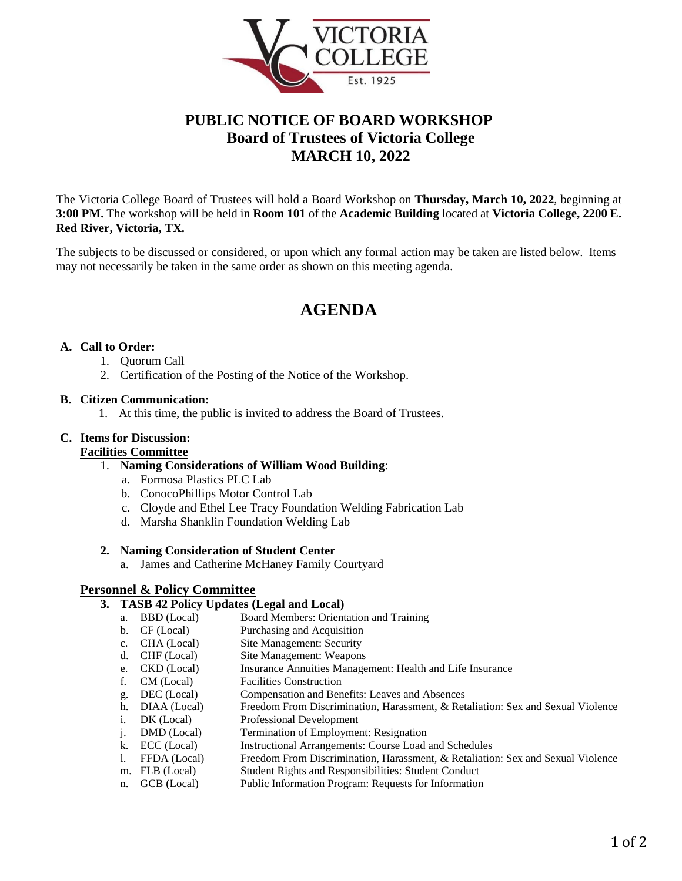

# **PUBLIC NOTICE OF BOARD WORKSHOP Board of Trustees of Victoria College MARCH 10, 2022**

The Victoria College Board of Trustees will hold a Board Workshop on **Thursday, March 10, 2022**, beginning at **3:00 PM.** The workshop will be held in **Room 101** of the **Academic Building** located at **Victoria College, 2200 E. Red River, Victoria, TX.**

The subjects to be discussed or considered, or upon which any formal action may be taken are listed below. Items may not necessarily be taken in the same order as shown on this meeting agenda.

# **AGENDA**

#### **A. Call to Order:**

- 1. Quorum Call
- 2. Certification of the Posting of the Notice of the Workshop.

#### **B. Citizen Communication:**

1. At this time, the public is invited to address the Board of Trustees.

## **C. Items for Discussion:**

# **Facilities Committee**

- 1. **Naming Considerations of William Wood Building**:
	- a. Formosa Plastics PLC Lab
	- b. ConocoPhillips Motor Control Lab
	- c. Cloyde and Ethel Lee Tracy Foundation Welding Fabrication Lab
	- d. Marsha Shanklin Foundation Welding Lab

#### **2. Naming Consideration of Student Center**

a. James and Catherine McHaney Family Courtyard

## **Personnel & Policy Committee**

#### **3. TASB 42 Policy Updates (Legal and Local)**

- a. BBD (Local) Board Members: Orientation and Training<br>b. CF (Local) Purchasing and Acquisition
- Purchasing and Acquisition
- c. CHA (Local) Site Management: Security
- d. CHF (Local) Site Management: Weapons
- e. CKD (Local) Insurance Annuities Management: Health and Life Insurance<br>
f. CM (Local) Facilities Construction
- Facilities Construction
- g. DEC (Local) Compensation and Benefits: Leaves and Absences
- h. DIAA (Local) Freedom From Discrimination, Harassment, & Retaliation: Sex and Sexual Violence
- i. DK (Local) Professional Development
- j. DMD (Local) Termination of Employment: Resignation<br>
k. ECC (Local) Instructional Arrangements: Course Load
- 
- k. ECC (Local) Instructional Arrangements: Course Load and Schedules<br>1. FFDA (Local) Freedom From Discrimination, Harassment, & Retaliation Freedom From Discrimination, Harassment, & Retaliation: Sex and Sexual Violence
- m. FLB (Local) Student Rights and Responsibilities: Student Conduct
- n. GCB (Local) Public Information Program: Requests for Information